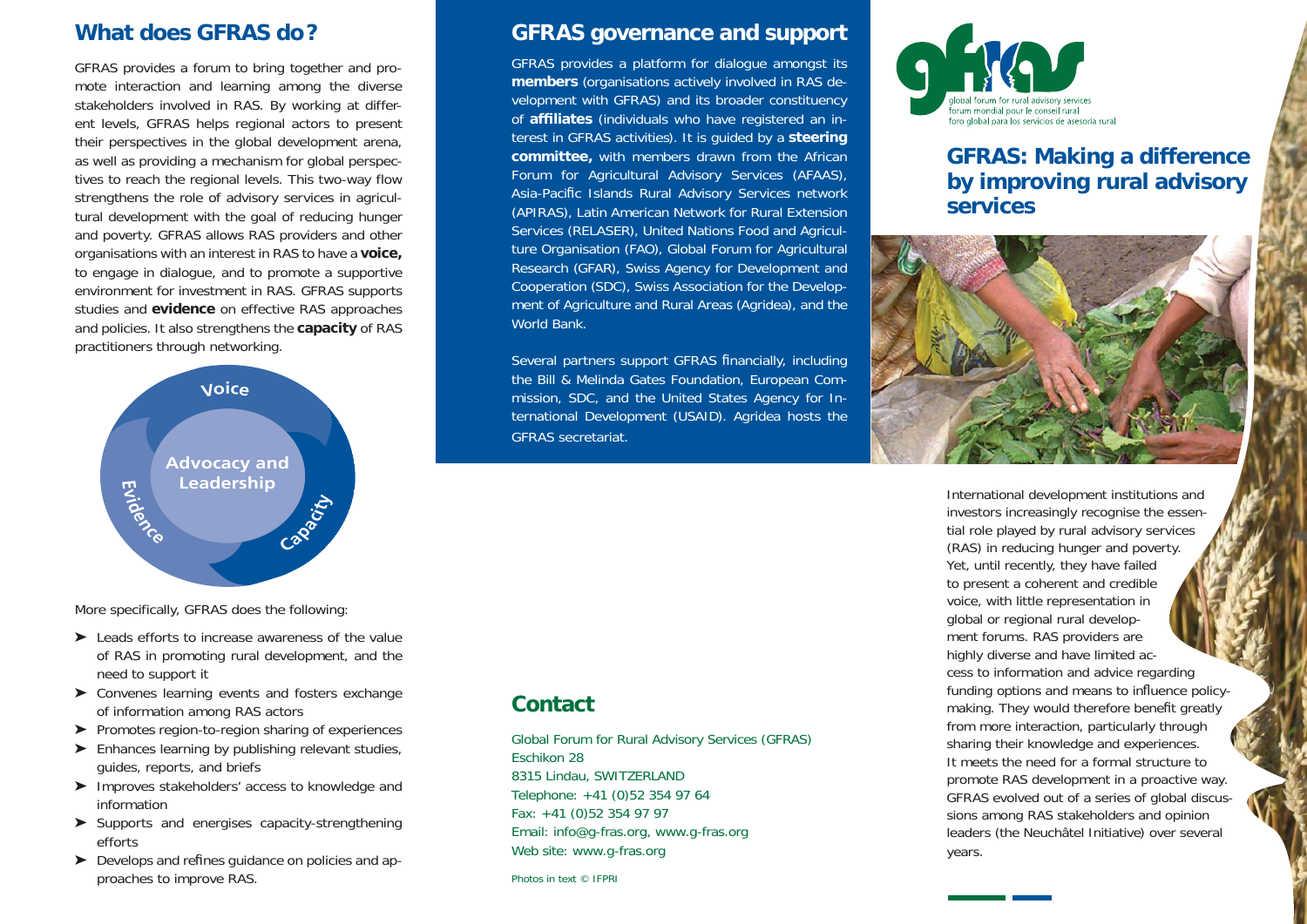## **What does GFRAS do ?**

GFRAS provides a forum to bring together and promote interaction and learning among the diverse stakeholders involved in RAS. By working at different levels, GFRAS helps regional actors to present their perspectives in the global development arena, as well as providing a mechanism for global perspectives to reach the regional levels. This two-way flow strengthens the role of advisory services in agricultural development with the goal of reducing hunger and poverty. GFRAS allows RAS providers and other organisations with an interest in RAS to have a **voice,** to engage in dialogue, and to promote a supportive environment for investment in RAS. GFRAS supports studies and **evidence** on effective RAS approaches and policies. It also strengthens the **capacity** of RAS practitioners through networking.



More specifically, GFRAS does the following:

- ➤ Leads efforts to increase awareness of the value of RAS in promoting rural development, and the need to support it
- ➤ Convenes learning events and fosters exchange of information among RAS actors
- ➤ Promotes region-to-region sharing of experiences
- ➤ Enhances learning by publishing relevant studies, guides, reports, and briefs
- ➤ Improves stakeholders' access to knowledge and information
- ➤ Supports and energises capacity-strengthening efforts
- $\triangleright$  Develops and refines guidance on policies and approaches to improve RAS.

#### **GFRAS governance and support**

GFRAS provides a platform for dialogue amongst its **members** (organisations actively involved in RAS development with GFRAS) and its broader constituency of **af ¿ liates** (individuals who have registered an interest in GFRAS activities). It is guided by a **steering committee,** with members drawn from the African Forum for Agricultural Advisory Services (AFAAS), Asia-Pacific Islands Rural Advisory Services network (APIRAS), Latin American Network for Rural Extension Services (RELASER), United Nations Food and Agriculture Organisation (FAO), Global Forum for Agricultural Research (GFAR), Swiss Agency for Development and Cooperation (SDC), Swiss Association for the Development of Agriculture and Rural Areas (Agridea), and the World Bank.

Several partners support GFRAS financially, including the Bill & Melinda Gates Foundation, European Commission, SDC, and the United States Agency for International Development (USAID). Agridea hosts the GFRAS secretariat.

#### **Contact**

Global Forum for Rural Advisory Services (GFRAS) Eschikon 28 8315 Lindau, SWITZERLAND Telephone: +41 (0)52 354 97 64 Fax: +41 (0)52 354 97 97 Email: info@g-fras.org, www.g-fras.org Web site: www.g-fras.org

Photos in text © IFPRI



## **GFRAS: Making a difference by improving rural advisory services**



International development institutions and investors increasingly recognise the essential role played by rural advisory services (RAS) in reducing hunger and poverty. Yet, until recently, they have failed to present a coherent and credible voice, with little representation in global or regional rural development forums. RAS providers are highly diverse and have limited access to information and advice regarding funding options and means to influence policymaking. They would therefore benefit greatly from more interaction, particularly through sharing their knowledge and experiences. It meets the need for a formal structure to promote RAS development in a proactive way. GFRAS evolved out of a series of global discussions among RAS stakeholders and opinion leaders (the Neuchâtel Initiative) over several years.